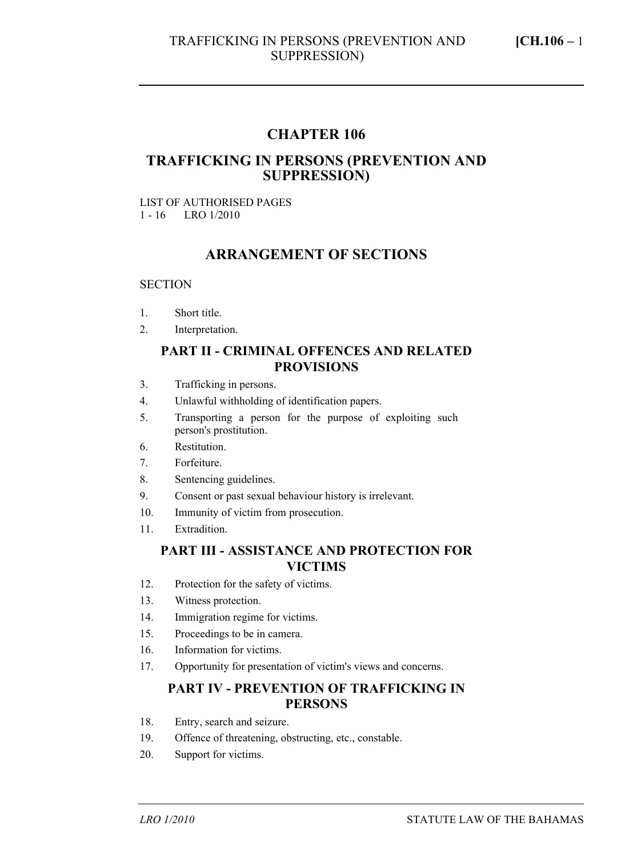## **CHAPTER 106**

### **TRAFFICKING IN PERSONS (PREVENTION AND SUPPRESSION)**

#### LIST OF AUTHORISED PAGES 1 - 16 LRO 1/2010

#### **ARRANGEMENT OF SECTIONS**

#### **SECTION**

- 1. Short title.
- 2. Interpretation.

#### **PART II - CRIMINAL OFFENCES AND RELATED PROVISIONS**

- 3. Trafficking in persons.
- 4. Unlawful withholding of identification papers.
- 5. Transporting a person for the purpose of exploiting such person's prostitution.
- 6. Restitution.
- 7. Forfeiture.
- 8. Sentencing guidelines.
- 9. Consent or past sexual behaviour history is irrelevant.
- 10. Immunity of victim from prosecution.
- 11. Extradition.

#### **PART III - ASSISTANCE AND PROTECTION FOR VICTIMS**

- 12. Protection for the safety of victims.
- 13. Witness protection.
- 14. Immigration regime for victims.
- 15. Proceedings to be in camera.
- 16. Information for victims.
- 17. Opportunity for presentation of victim's views and concerns.

#### **PART IV - PREVENTION OF TRAFFICKING IN PERSONS**

- 18. Entry, search and seizure.
- 19. Offence of threatening, obstructing, etc., constable.
- 20. Support for victims.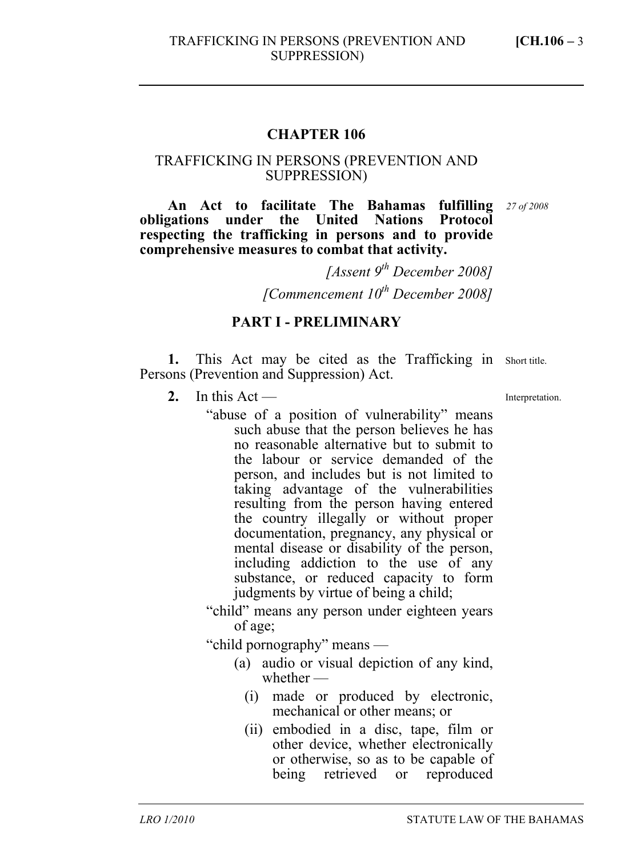#### **CHAPTER 106**

#### TRAFFICKING IN PERSONS (PREVENTION AND SUPPRESSION)

**An Act to facilitate The Bahamas fulfilling**  *27 of 2008*  **obligations under the United Nations Protocol respecting the trafficking in persons and to provide comprehensive measures to combat that activity.** 

> *[Assent 9th December 2008] [Commencement 10th December 2008]*

#### **PART I - PRELIMINARY**

1. This Act may be cited as the Trafficking in Short title. Persons (Prevention and Suppression) Act.

2. In this  $Act$  —

"abuse of a position of vulnerability" means such abuse that the person believes he has no reasonable alternative but to submit to the labour or service demanded of the person, and includes but is not limited to taking advantage of the vulnerabilities resulting from the person having entered the country illegally or without proper documentation, pregnancy, any physical or mental disease or disability of the person, including addiction to the use of any substance, or reduced capacity to form judgments by virtue of being a child;

"child" means any person under eighteen years of age;

"child pornography" means —

- (a) audio or visual depiction of any kind, whether —
	- (i) made or produced by electronic, mechanical or other means; or
	- (ii) embodied in a disc, tape, film or other device, whether electronically or otherwise, so as to be capable of being retrieved or reproduced

Interpretation.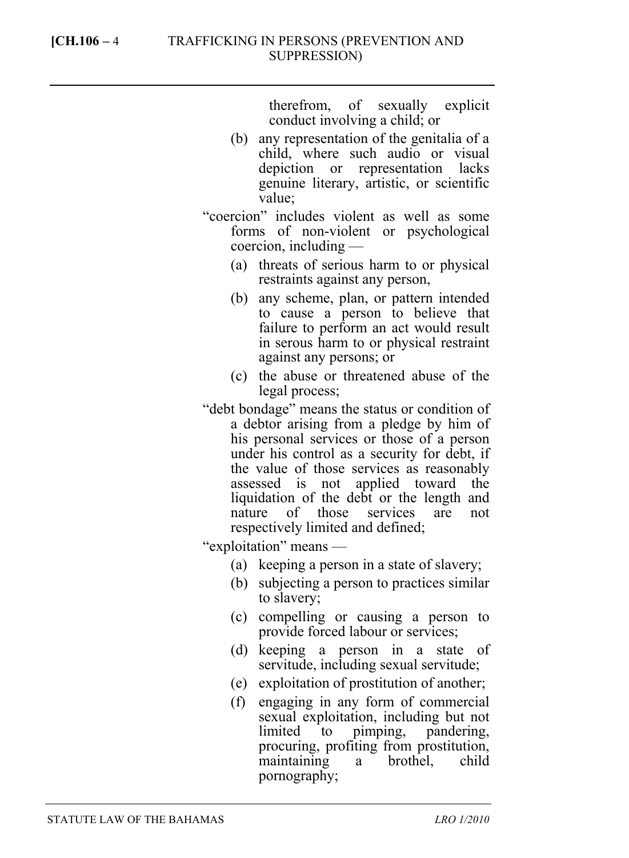therefrom, of sexually explicit conduct involving a child; or

- (b) any representation of the genitalia of a child, where such audio or visual depiction or representation lacks genuine literary, artistic, or scientific value;
- "coercion" includes violent as well as some forms of non-violent or psychological coercion, including —
	- (a) threats of serious harm to or physical restraints against any person,
	- (b) any scheme, plan, or pattern intended to cause a person to believe that failure to perform an act would result in serous harm to or physical restraint against any persons; or
	- (c) the abuse or threatened abuse of the legal process;
- "debt bondage" means the status or condition of a debtor arising from a pledge by him of his personal services or those of a person under his control as a security for debt, if the value of those services as reasonably assessed is not applied toward the liquidation of the debt or the length and nature of those services are not respectively limited and defined;

"exploitation" means —

- (a) keeping a person in a state of slavery;
- (b) subjecting a person to practices similar to slavery;
- (c) compelling or causing a person to provide forced labour or services;
- (d) keeping a person in a state of servitude, including sexual servitude;
- (e) exploitation of prostitution of another;
- (f) engaging in any form of commercial sexual exploitation, including but not limited to pimping, pandering, procuring, profiting from prostitution, maintaining a brothel, child pornography;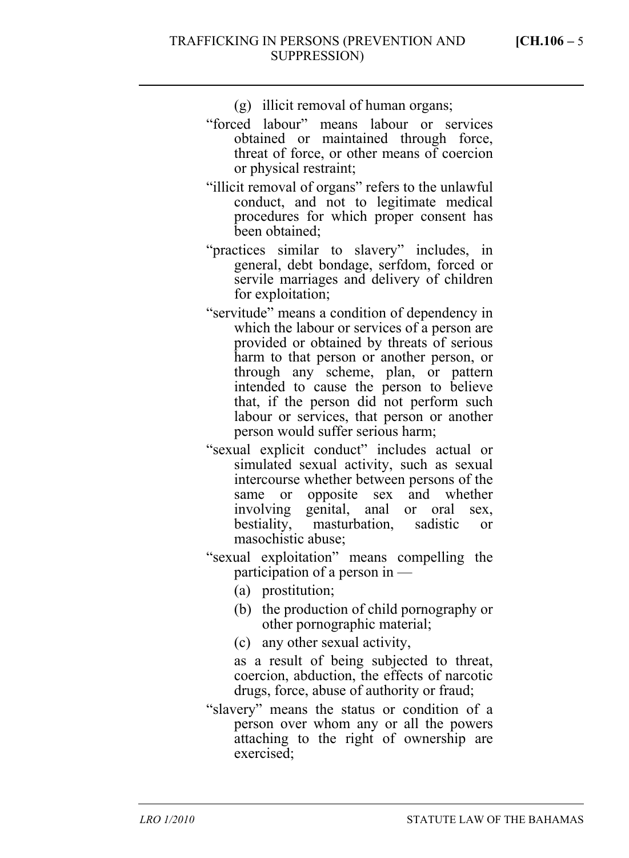(g) illicit removal of human organs;

- "forced labour" means labour or services obtained or maintained through force, threat of force, or other means of coercion or physical restraint;
- "illicit removal of organs" refers to the unlawful conduct, and not to legitimate medical procedures for which proper consent has been obtained;
- "practices similar to slavery" includes, in general, debt bondage, serfdom, forced or servile marriages and delivery of children for exploitation;
- "servitude" means a condition of dependency in which the labour or services of a person are provided or obtained by threats of serious harm to that person or another person, or through any scheme, plan, or pattern intended to cause the person to believe that, if the person did not perform such labour or services, that person or another person would suffer serious harm;
- "sexual explicit conduct" includes actual or simulated sexual activity, such as sexual intercourse whether between persons of the same or opposite sex and whether involving genital, anal or oral sex, bestiality, masturbation, sadistic or masochistic abuse;
- "sexual exploitation" means compelling the participation of a person in —
	- (a) prostitution;
	- (b) the production of child pornography or other pornographic material;
	- (c) any other sexual activity,

as a result of being subjected to threat, coercion, abduction, the effects of narcotic drugs, force, abuse of authority or fraud;

"slavery" means the status or condition of a person over whom any or all the powers attaching to the right of ownership are exercised;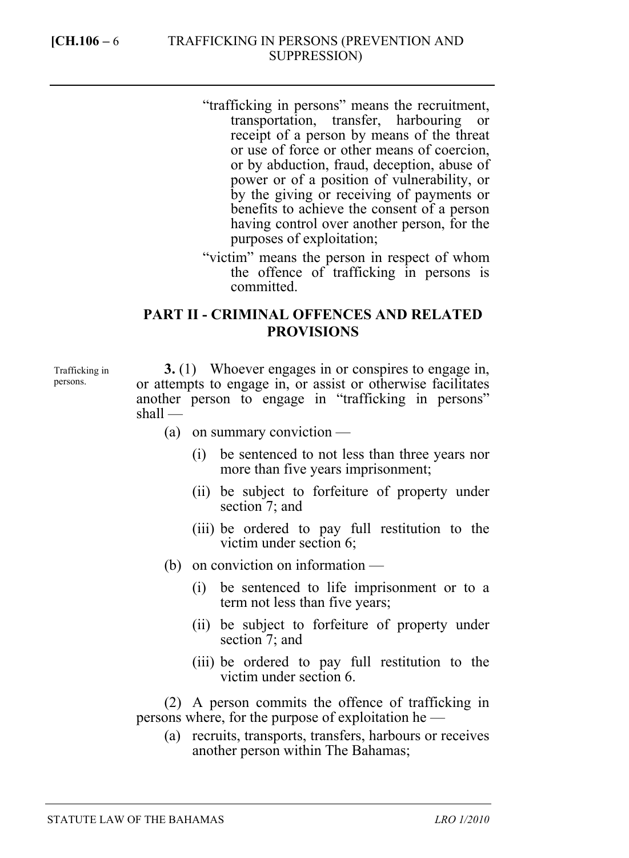- "trafficking in persons" means the recruitment, transportation, transfer, harbouring or receipt of a person by means of the threat or use of force or other means of coercion, or by abduction, fraud, deception, abuse of power or of a position of vulnerability, or by the giving or receiving of payments or benefits to achieve the consent of a person having control over another person, for the purposes of exploitation;
- "victim" means the person in respect of whom the offence of trafficking in persons is committed.

# **PART II - CRIMINAL OFFENCES AND RELATED PROVISIONS**

Trafficking in persons.

**3.** (1) Whoever engages in or conspires to engage in, or attempts to engage in, or assist or otherwise facilitates another person to engage in "trafficking in persons" shall —

- (a) on summary conviction
	- (i) be sentenced to not less than three years nor more than five years imprisonment;
	- (ii) be subject to forfeiture of property under section 7; and
	- (iii) be ordered to pay full restitution to the victim under section 6;
- (b) on conviction on information
	- (i) be sentenced to life imprisonment or to a term not less than five years;
	- (ii) be subject to forfeiture of property under section 7; and
	- (iii) be ordered to pay full restitution to the victim under section 6.

(2) A person commits the offence of trafficking in persons where, for the purpose of exploitation he —

(a) recruits, transports, transfers, harbours or receives another person within The Bahamas;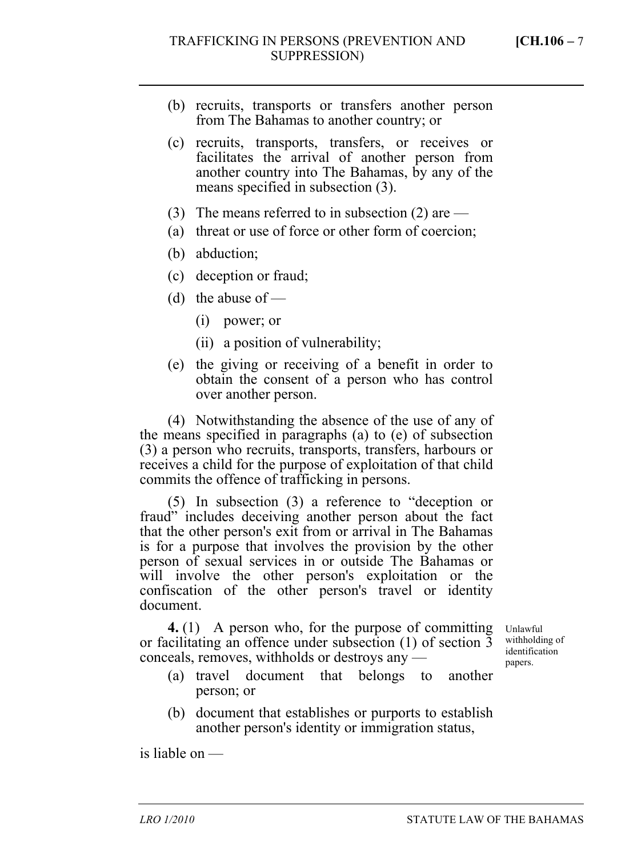- (b) recruits, transports or transfers another person from The Bahamas to another country; or
- (c) recruits, transports, transfers, or receives or facilitates the arrival of another person from another country into The Bahamas, by any of the means specified in subsection (3).
- (3) The means referred to in subsection (2) are  $-$
- (a) threat or use of force or other form of coercion;
- (b) abduction;
- (c) deception or fraud;
- (d) the abuse of  $-$ 
	- (i) power; or
	- (ii) a position of vulnerability;
- (e) the giving or receiving of a benefit in order to obtain the consent of a person who has control over another person.

(4) Notwithstanding the absence of the use of any of the means specified in paragraphs (a) to (e) of subsection (3) a person who recruits, transports, transfers, harbours or receives a child for the purpose of exploitation of that child commits the offence of trafficking in persons.

(5) In subsection (3) a reference to "deception or fraud" includes deceiving another person about the fact that the other person's exit from or arrival in The Bahamas is for a purpose that involves the provision by the other person of sexual services in or outside The Bahamas or will involve the other person's exploitation or the confiscation of the other person's travel or identity document.

**4.** (1) A person who, for the purpose of committing or facilitating an offence under subsection (1) of section 3 conceals, removes, withholds or destroys any —

Unlawful withholding of identification papers.

- (a) travel document that belongs to another person; or
- (b) document that establishes or purports to establish another person's identity or immigration status,

is liable on —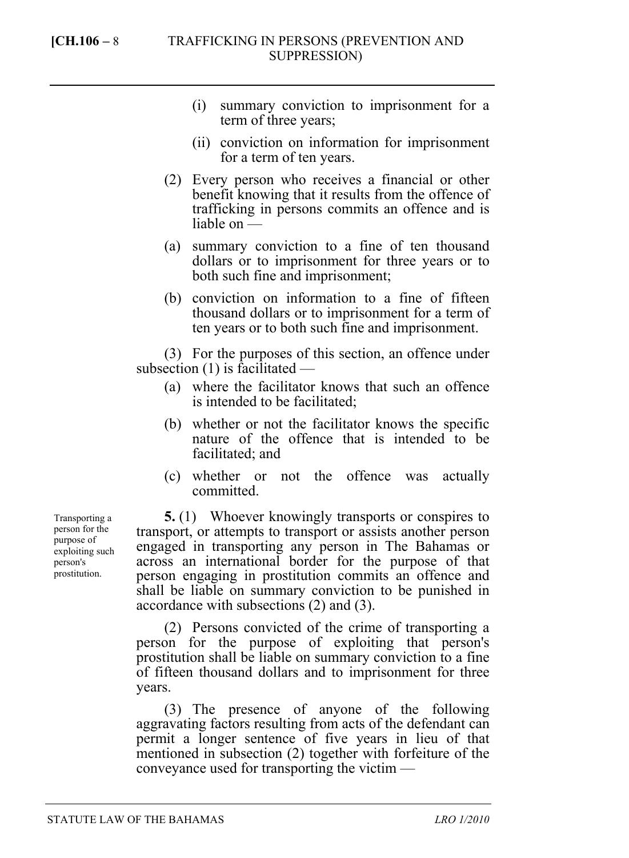- (i) summary conviction to imprisonment for a term of three years;
- (ii) conviction on information for imprisonment for a term of ten years.
- (2) Every person who receives a financial or other benefit knowing that it results from the offence of trafficking in persons commits an offence and is liable on —
- (a) summary conviction to a fine of ten thousand dollars or to imprisonment for three years or to both such fine and imprisonment;
- (b) conviction on information to a fine of fifteen thousand dollars or to imprisonment for a term of ten years or to both such fine and imprisonment.

(3) For the purposes of this section, an offence under subsection (1) is facilitated —

- (a) where the facilitator knows that such an offence is intended to be facilitated;
- (b) whether or not the facilitator knows the specific nature of the offence that is intended to be facilitated; and
- (c) whether or not the offence was actually committed.

**5.** (1) Whoever knowingly transports or conspires to transport, or attempts to transport or assists another person engaged in transporting any person in The Bahamas or across an international border for the purpose of that person engaging in prostitution commits an offence and shall be liable on summary conviction to be punished in accordance with subsections (2) and (3).

(2) Persons convicted of the crime of transporting a person for the purpose of exploiting that person's prostitution shall be liable on summary conviction to a fine of fifteen thousand dollars and to imprisonment for three years.

(3) The presence of anyone of the following aggravating factors resulting from acts of the defendant can permit a longer sentence of five years in lieu of that mentioned in subsection (2) together with forfeiture of the conveyance used for transporting the victim —

Transporting a person for the purpose of exploiting such person's prostitution.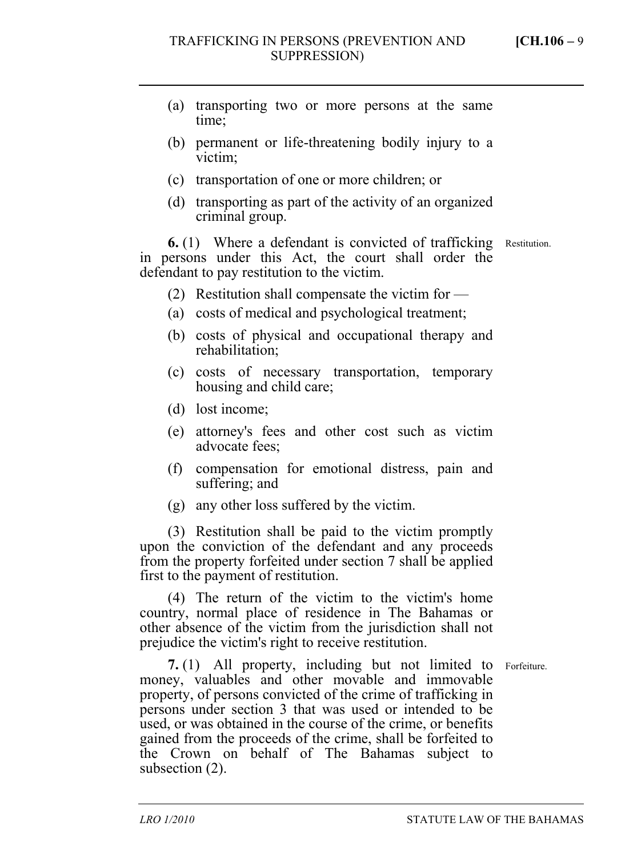- (a) transporting two or more persons at the same time;
- (b) permanent or life-threatening bodily injury to a victim;
- (c) transportation of one or more children; or
- (d) transporting as part of the activity of an organized criminal group.

**6.** (1) Where a defendant is convicted of trafficking Restitution. in persons under this Act, the court shall order the defendant to pay restitution to the victim.

- (2) Restitution shall compensate the victim for —
- (a) costs of medical and psychological treatment;
- (b) costs of physical and occupational therapy and rehabilitation;
- (c) costs of necessary transportation, temporary housing and child care;
- (d) lost income;
- (e) attorney's fees and other cost such as victim advocate fees;
- (f) compensation for emotional distress, pain and suffering; and
- (g) any other loss suffered by the victim.

(3) Restitution shall be paid to the victim promptly upon the conviction of the defendant and any proceeds from the property forfeited under section 7 shall be applied first to the payment of restitution.

(4) The return of the victim to the victim's home country, normal place of residence in The Bahamas or other absence of the victim from the jurisdiction shall not prejudice the victim's right to receive restitution.

**7.** (1) All property, including but not limited to Forfeiture. money, valuables and other movable and immovable property, of persons convicted of the crime of trafficking in persons under section 3 that was used or intended to be used, or was obtained in the course of the crime, or benefits gained from the proceeds of the crime, shall be forfeited to the Crown on behalf of The Bahamas subject to subsection (2).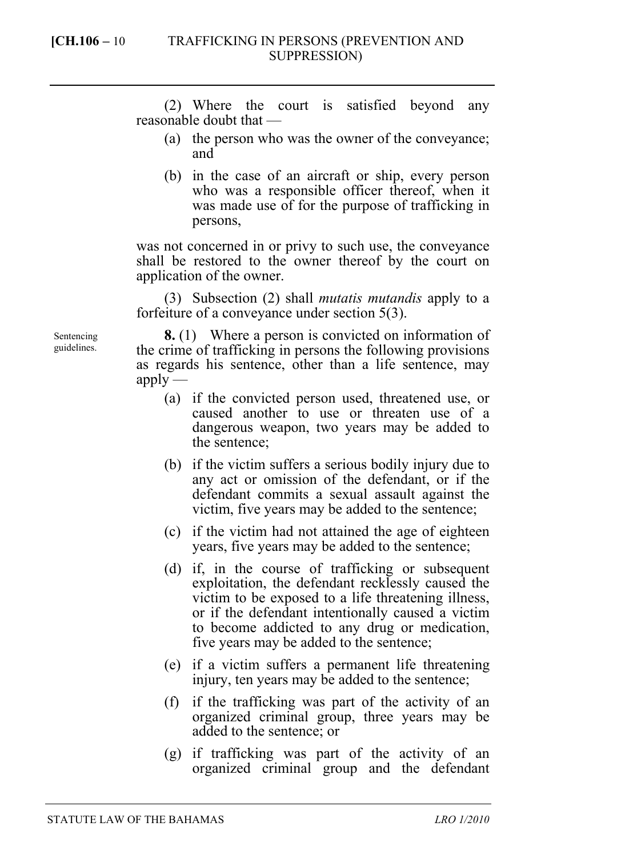(2) Where the court is satisfied beyond any reasonable doubt that —

- (a) the person who was the owner of the conveyance; and
- (b) in the case of an aircraft or ship, every person who was a responsible officer thereof, when it was made use of for the purpose of trafficking in persons,

was not concerned in or privy to such use, the conveyance shall be restored to the owner thereof by the court on application of the owner.

(3) Subsection (2) shall *mutatis mutandis* apply to a forfeiture of a conveyance under section 5(3).

**8.** (1) Where a person is convicted on information of the crime of trafficking in persons the following provisions as regards his sentence, other than a life sentence, may  $apply$ —

- (a) if the convicted person used, threatened use, or caused another to use or threaten use of a dangerous weapon, two years may be added to the sentence;
- (b) if the victim suffers a serious bodily injury due to any act or omission of the defendant, or if the defendant commits a sexual assault against the victim, five years may be added to the sentence;
- (c) if the victim had not attained the age of eighteen years, five years may be added to the sentence;
- (d) if, in the course of trafficking or subsequent exploitation, the defendant recklessly caused the victim to be exposed to a life threatening illness, or if the defendant intentionally caused a victim to become addicted to any drug or medication, five years may be added to the sentence;
- (e) if a victim suffers a permanent life threatening injury, ten years may be added to the sentence;
- (f) if the trafficking was part of the activity of an organized criminal group, three years may be added to the sentence; or
- (g) if trafficking was part of the activity of an organized criminal group and the defendant

Sentencing guidelines.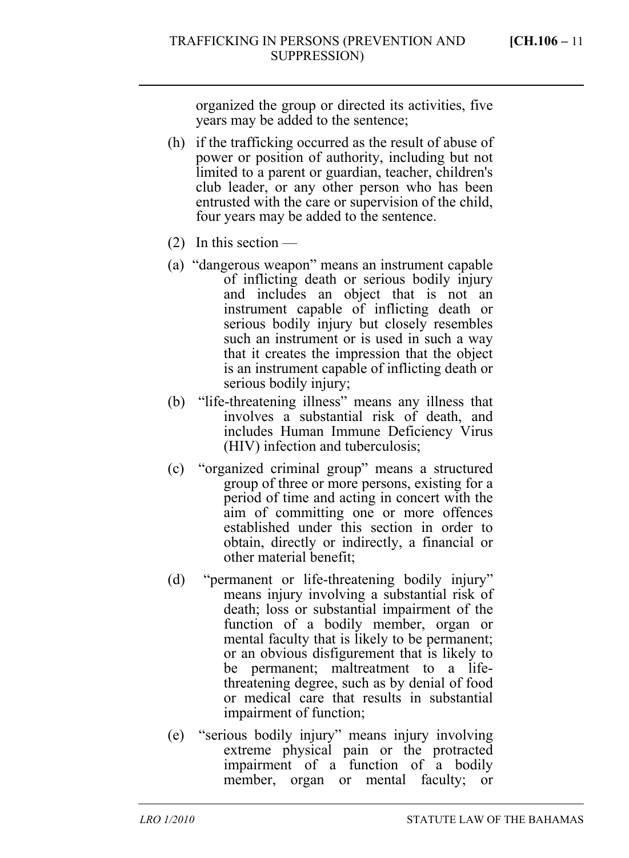organized the group or directed its activities, five years may be added to the sentence;

- (h) if the trafficking occurred as the result of abuse of power or position of authority, including but not limited to a parent or guardian, teacher, children's club leader, or any other person who has been entrusted with the care or supervision of the child, four years may be added to the sentence.
- (2) In this section —
- (a) "dangerous weapon" means an instrument capable of inflicting death or serious bodily injury and includes an object that is not an instrument capable of inflicting death or serious bodily injury but closely resembles such an instrument or is used in such a way that it creates the impression that the object is an instrument capable of inflicting death or serious bodily injury;
- (b) "life-threatening illness" means any illness that involves a substantial risk of death, and includes Human Immune Deficiency Virus (HIV) infection and tuberculosis;
- (c) "organized criminal group" means a structured group of three or more persons, existing for a period of time and acting in concert with the aim of committing one or more offences established under this section in order to obtain, directly or indirectly, a financial or other material benefit;
- (d) "permanent or life-threatening bodily injury" means injury involving a substantial risk of death; loss or substantial impairment of the function of a bodily member, organ or mental faculty that is likely to be permanent; or an obvious disfigurement that is likely to be permanent; maltreatment to a lifethreatening degree, such as by denial of food or medical care that results in substantial impairment of function;
- (e) "serious bodily injury" means injury involving extreme physical pain or the protracted impairment of a function of a bodily member, organ or mental faculty; or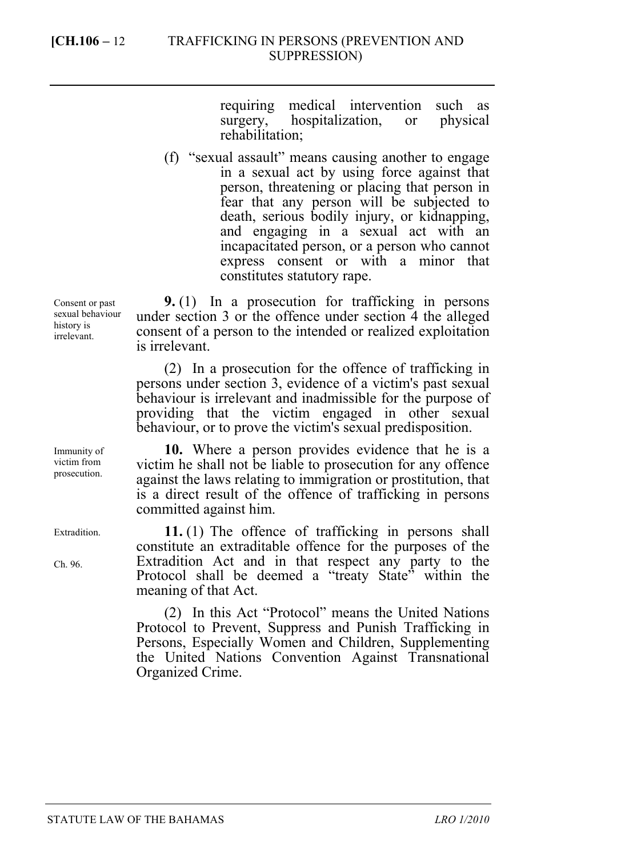requiring medical intervention such as surgery, hospitalization, or physical rehabilitation;

(f) "sexual assault" means causing another to engage in a sexual act by using force against that person, threatening or placing that person in fear that any person will be subjected to death, serious bodily injury, or kidnapping, and engaging in a sexual act with an incapacitated person, or a person who cannot express consent or with a minor that constitutes statutory rape.

**9.** (1) In a prosecution for trafficking in persons under section 3 or the offence under section 4 the alleged consent of a person to the intended or realized exploitation is irrelevant.

(2) In a prosecution for the offence of trafficking in persons under section 3, evidence of a victim's past sexual behaviour is irrelevant and inadmissible for the purpose of providing that the victim engaged in other sexual behaviour, or to prove the victim's sexual predisposition.

**10.** Where a person provides evidence that he is a victim he shall not be liable to prosecution for any offence against the laws relating to immigration or prostitution, that is a direct result of the offence of trafficking in persons committed against him.

**11.** (1) The offence of trafficking in persons shall constitute an extraditable offence for the purposes of the Extradition Act and in that respect any party to the Protocol shall be deemed a "treaty State" within the meaning of that Act.

(2) In this Act "Protocol" means the United Nations Protocol to Prevent, Suppress and Punish Trafficking in Persons, Especially Women and Children, Supplementing the United Nations Convention Against Transnational Organized Crime.

Consent or past sexual behaviour history is irrelevant.

Immunity of victim from prosecution.

Extradition.

Ch. 96.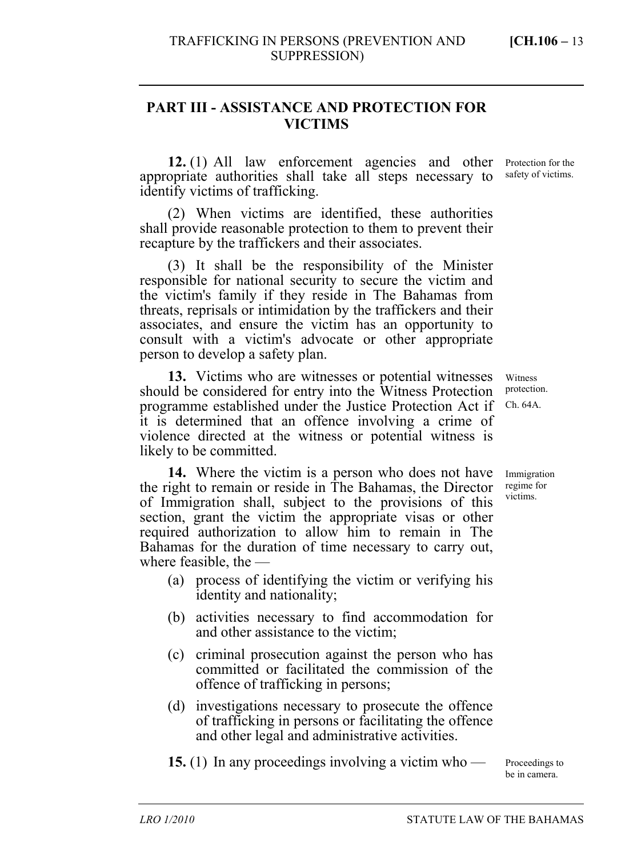# **PART III - ASSISTANCE AND PROTECTION FOR VICTIMS**

**12.** (1) All law enforcement agencies and other appropriate authorities shall take all steps necessary to identify victims of trafficking.

(2) When victims are identified, these authorities shall provide reasonable protection to them to prevent their recapture by the traffickers and their associates.

(3) It shall be the responsibility of the Minister responsible for national security to secure the victim and the victim's family if they reside in The Bahamas from threats, reprisals or intimidation by the traffickers and their associates, and ensure the victim has an opportunity to consult with a victim's advocate or other appropriate person to develop a safety plan.

**13.** Victims who are witnesses or potential witnesses should be considered for entry into the Witness Protection programme established under the Justice Protection Act if it is determined that an offence involving a crime of violence directed at the witness or potential witness is likely to be committed.

**14.** Where the victim is a person who does not have the right to remain or reside in The Bahamas, the Director of Immigration shall, subject to the provisions of this section, grant the victim the appropriate visas or other required authorization to allow him to remain in The Bahamas for the duration of time necessary to carry out, where feasible, the —

- (a) process of identifying the victim or verifying his identity and nationality;
- (b) activities necessary to find accommodation for and other assistance to the victim;
- (c) criminal prosecution against the person who has committed or facilitated the commission of the offence of trafficking in persons;
- (d) investigations necessary to prosecute the offence of trafficking in persons or facilitating the offence and other legal and administrative activities.

**15.** (1) In any proceedings involving a victim who —

Protection for the safety of victims.

Witness protection. Ch. 64A.

Immigration regime for victims.

Proceedings to be in camera.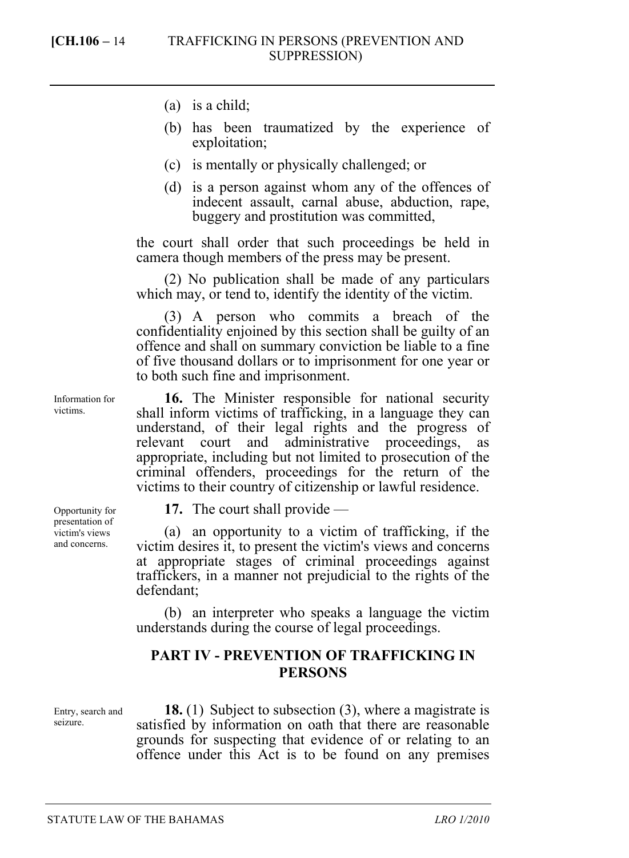- (a) is a child;
- (b) has been traumatized by the experience of exploitation;
- (c) is mentally or physically challenged; or
- (d) is a person against whom any of the offences of indecent assault, carnal abuse, abduction, rape, buggery and prostitution was committed,

the court shall order that such proceedings be held in camera though members of the press may be present.

(2) No publication shall be made of any particulars which may, or tend to, identify the identity of the victim.

(3) A person who commits a breach of the confidentiality enjoined by this section shall be guilty of an offence and shall on summary conviction be liable to a fine of five thousand dollars or to imprisonment for one year or to both such fine and imprisonment.

**16.** The Minister responsible for national security shall inform victims of trafficking, in a language they can understand, of their legal rights and the progress of relevant court and administrative proceedings, as appropriate, including but not limited to prosecution of the criminal offenders, proceedings for the return of the victims to their country of citizenship or lawful residence.

Opportunity for presentation of victim's views and concerns.

Information for victims.

**17.** The court shall provide —

(a) an opportunity to a victim of trafficking, if the victim desires it, to present the victim's views and concerns at appropriate stages of criminal proceedings against traffickers, in a manner not prejudicial to the rights of the defendant;

(b) an interpreter who speaks a language the victim understands during the course of legal proceedings.

## **PART IV - PREVENTION OF TRAFFICKING IN PERSONS**

Entry, search and seizure.

**18.** (1) Subject to subsection (3), where a magistrate is satisfied by information on oath that there are reasonable grounds for suspecting that evidence of or relating to an offence under this Act is to be found on any premises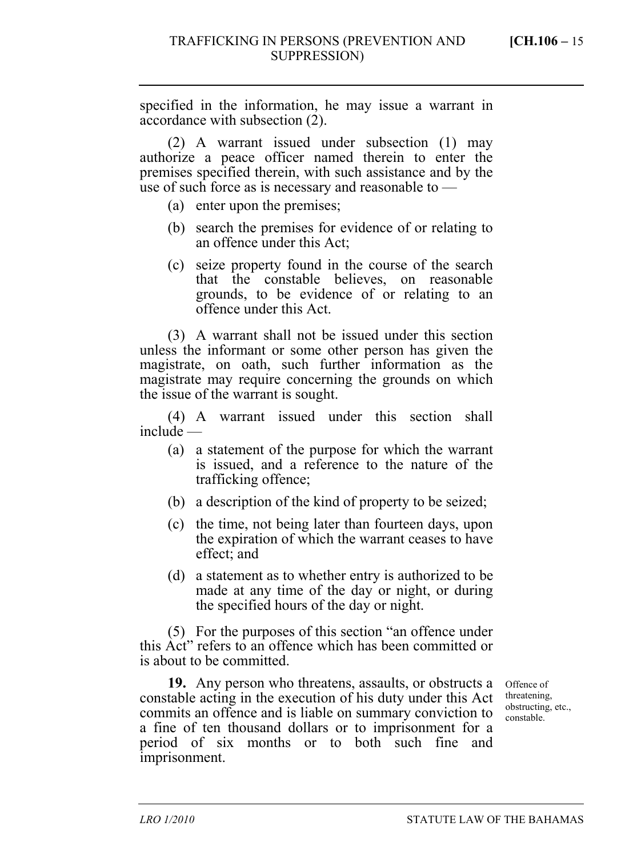specified in the information, he may issue a warrant in accordance with subsection (2).

(2) A warrant issued under subsection (1) may authorize a peace officer named therein to enter the premises specified therein, with such assistance and by the use of such force as is necessary and reasonable to —

- (a) enter upon the premises;
- (b) search the premises for evidence of or relating to an offence under this Act;
- (c) seize property found in the course of the search that the constable believes, on reasonable grounds, to be evidence of or relating to an offence under this Act.

(3) A warrant shall not be issued under this section unless the informant or some other person has given the magistrate, on oath, such further information as the magistrate may require concerning the grounds on which the issue of the warrant is sought.

(4) A warrant issued under this section shall include —

- (a) a statement of the purpose for which the warrant is issued, and a reference to the nature of the trafficking offence;
- (b) a description of the kind of property to be seized;
- (c) the time, not being later than fourteen days, upon the expiration of which the warrant ceases to have effect; and
- (d) a statement as to whether entry is authorized to be made at any time of the day or night, or during the specified hours of the day or night.

(5) For the purposes of this section "an offence under this Act" refers to an offence which has been committed or is about to be committed.

19. Any person who threatens, assaults, or obstructs a offence of constable acting in the execution of his duty under this Act commits an offence and is liable on summary conviction to a fine of ten thousand dollars or to imprisonment for a period of six months or to both such fine and imprisonment.

threatening, obstructing, etc., constable.